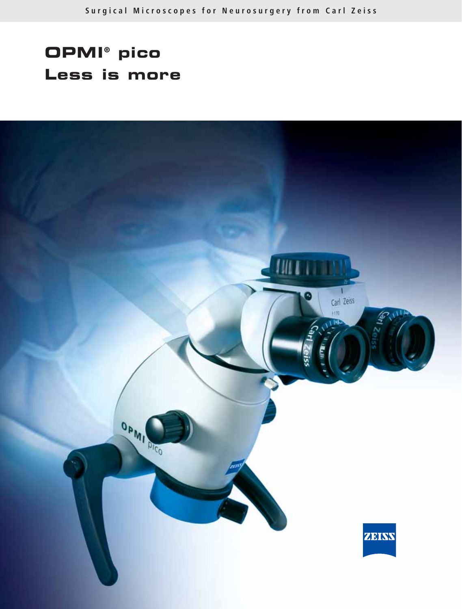# **OPMI® pico Less is more**

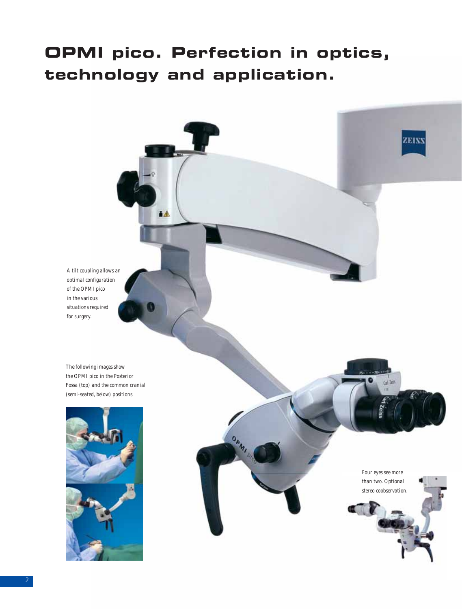## **OPMI pico. Perfection in optics, technology and application.**

OPANI

 $\Delta$ 



*The following images show the OPMI pico in the Posterior Fossa (top) and the common cranial (semi-seated, below) positions.*



*Four eyes see more than two. Optional stereo coobservation.*

cal Tell

**ZEISS**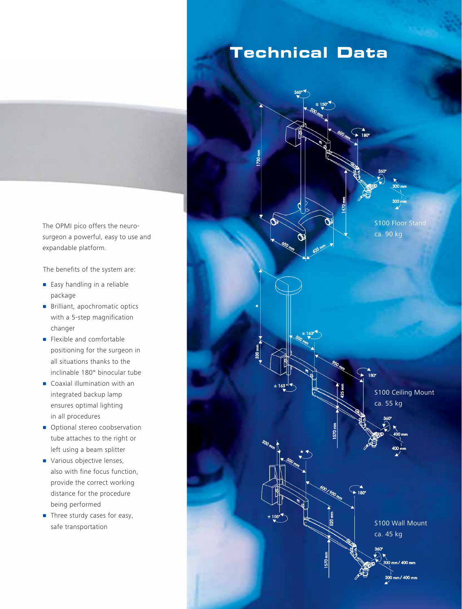

The OPMI pico offers the neurosurgeon a powerful, easy to use and expandable platform.

The benefits of the system are:

- **Easy handling in a reliable** package
- **•** Brilliant, apochromatic optics with a 5-step magnification changer
- **Flexible and comfortable** positioning for the surgeon in all situations thanks to the inclinable 180° binocular tube
- **Coaxial illumination with an** integrated backup lamp ensures optimal lighting in all procedures
- **•** Optional stereo coobservation tube attaches to the right or left using a beam splitter
- Various objective lenses, also with fine focus function, provide the correct working distance for the procedure being performed
- **•** Three sturdy cases for easy, safe transportation

### **Technical Data**

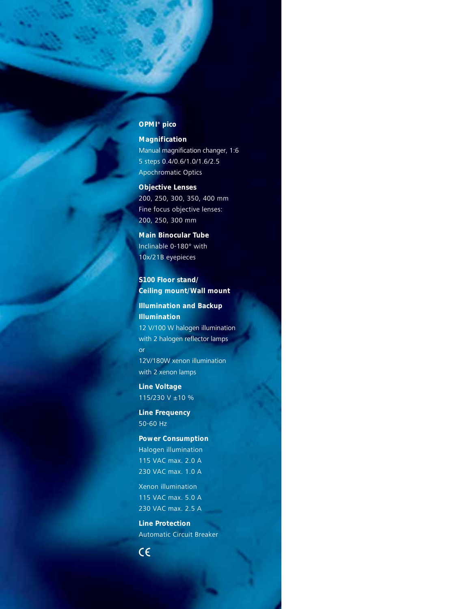### **OPMI® pico**

**Magnification** Manual magnification changer, 1:6 5 steps 0.4/0.6/1.0/1.6/2.5 Apochromatic Optics

**Objective Lenses** 200, 250, 300, 350, 400 mm Fine focus objective lenses: 200, 250, 300 mm

**Main Binocular Tube** Inclinable 0-180° with 10x/21B eyepieces

**S100 Floor stand/ Ceiling mount/Wall mount**

**Illumination and Backup Illumination** 12 V/100 W halogen illumination with 2 halogen reflector lamps or 12V/180W xenon illumination with 2 xenon lamps

**Line Voltage** 115/230 V ±10 %

**Line Frequency** 50-60 Hz

**Power Consumption** Halogen illumination 115 VAC max. 2.0 A 230 VAC max. 1.0 A

Xenon illumination 115 VAC max. 5.0 A 230 VAC max. 2.5 A

**Line Protection** Automatic Circuit Breaker

 $C \in$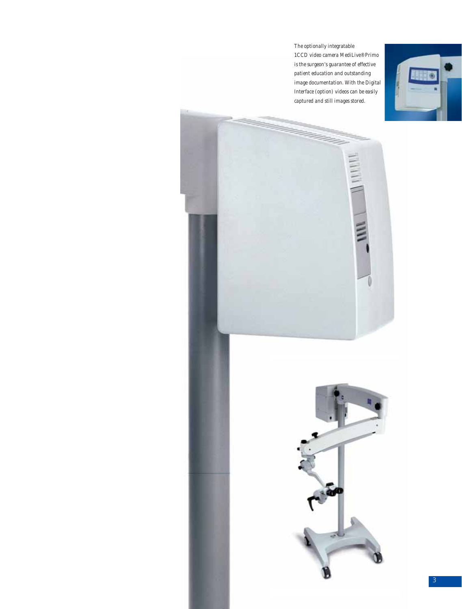*The optionally integratable 1CCD video camera MediLive® Primo is the surgeon's guarantee of effective patient education and outstanding image documentation. With the Digital Interface (option) videos can be easily captured and still images stored.*